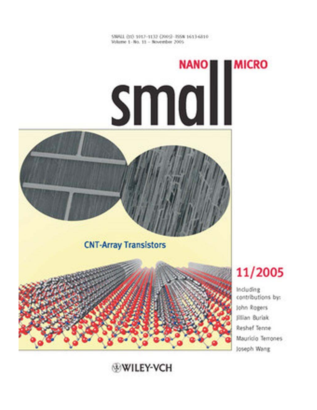SMALL (11) 1017-1132 (2005) - ISSN 1613-6810 Volume 1 - No. 11 - November 2005

# **Small MICRO**





## **WILEY-VCH**

## 11/2005

Including contributions by: John Rogers **Fillian Burlak** Reshef Tenne Mauricio Terrones Joseph Wang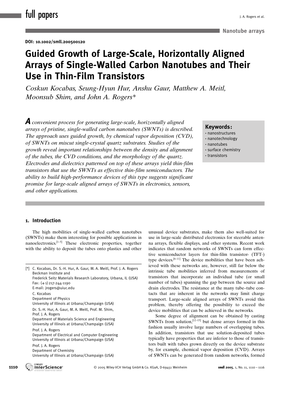## Guided Growth of Large-Scale, Horizontally Aligned Arrays of Single-Walled Carbon Nanotubes and Their Use in Thin-Film Transistors

Coskun Kocabas, Seung-Hyun Hur, Anshu Gaur, Matthew A. Meitl, Moonsub Shim, and John A. Rogers\*

**A** convenient process for generating large-scale, horizontally aligned arrays of pristine, single-walled carbon nanotubes (SWNTs) is described. The approach uses guided growth, by chemical vapor deposition (CVD), of SWNTs on miscut single-crystal quartz substrates. Studies of the growth reveal important relationships between the density and alignment of the tubes, the CVD conditions, and the morphology of the quartz. Electrodes and dielectrics patterned on top of these arrays yield thin-film transistors that use the SWNTs as effective thin-film semiconductors. The ability to build high-performance devices of this type suggests significant promise for large-scale aligned arrays of SWNTs in electronics, sensors, and other applications.

### Keywords :

- · nanostructures
- · nanotechnology
- · nanotubes
- · surface chemistry
- · transistors

## 1. Introduction

The high mobilities of single-walled carbon nanotubes (SWNTs) make them interesting for possible applications in nanoelectronics. $[1-5]$  These electronic properties, together with the ability to deposit the tubes onto plastics and other

[\*] C. Kocabas, Dr. S.-H. Hur, A. Gaur, M. A. Meitl, Prof. J. A. Rogers Beckman Institute and Frederick Seitz Materials Research Laboratory, Urbana, IL (USA)  $Fax: (+1)$  217-244-1190 E-mail: jrogers@uiuc.edu C. Kocabas Department of Physics University of Illinois at Urbana/Champaign (USA) Dr. S.-H. Hur, A. Gaur, M. A. Meitl, Prof. M. Shim, Prof. J. A. Rogers Department of Materials Science and Engineering University of Illinois at Urbana/Champaign (USA) Prof. J. A. Rogers Department of Electrical and Computer Engineering University of Illinois at Urbana/Champaign (USA) Prof. J. A. Rogers Department of Chemistry University of Illinois at Urbana/Champaign (USA)

unusual device substrates, make them also well-suited for use in large-scale distributed electronics for steerable antenna arrays, flexible displays, and other systems. Recent work indicates that random networks of SWNTs can form effective semiconductor layers for thin-film transistor- (TFT-) type devices.[6–11] The device mobilities that have been achieved with these networks are, however, still far below the intrinsic tube mobilities inferred from measurements of transistors that incorporate an individual tube (or small number of tubes) spanning the gap between the source and drain electrodes. The resistance at the many tube–tube contacts that are inherent in the networks may limit charge transport. Large-scale aligned arrays of SWNTs avoid this problem, thereby offering the possibility to exceed the device mobilities that can be achieved in the networks.

Some degree of alignment can be obtained by casting SWNTs from solution,  $[12-15]$  but dense arrays formed in this fashion usually involve large numbers of overlapping tubes. In addition, transistors that use solution-deposited tubes typically have properties that are inferior to those of transistors built with tubes grown directly on the device substrate by, for example, chemical vapor deposition (CVD). Arrays of SWNTs can be generated from random networks, formed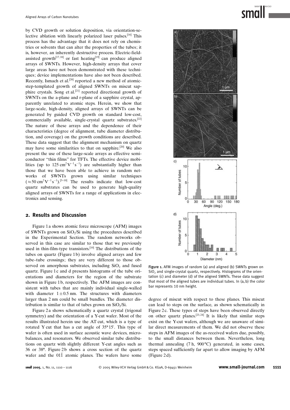by CVD growth or solution deposition, via orientation-selective ablation with linearly polarized laser pulses.<sup>[16]</sup> This process has the advantage that it does not rely on chemistries or solvents that can alter the properties of the tubes; it is, however, an inherently destructive process. Electric-fieldassisted growth<sup>[17,18]</sup> or fast heating<sup>[19]</sup> can produce aligned arrays of SWNTs. However, high-density arrays that cover large areas have not been demonstrated with these techniques; device implementations have also not been described. Recently, Ismach et al.<sup>[20]</sup> reported a new method of atomicstep-templated growth of aligned SWNTs on miscut sapphire crystals. Song et al.[21] reported directional growth of SWNTs on the a-plane and r-plane of a sapphire crystal, apparently unrelated to atomic steps. Herein, we show that large-scale, high-density, aligned arrays of SWNTs can be generated by guided CVD growth on standard low-cost, commercially available, single-crystal quartz substrates.[22] The nature of these arrays and the dependence of their characteristics (degree of alignment, tube diameter distribution, and coverage) on the growth conditions are described. These data suggest that the alignment mechanism on quartz may have some similarities to that on sapphire.[20] We also present the use of these large-scale arrays as effective semiconductor "thin films" for TFTs. The effective device mobilities (up to  $125 \text{ cm}^2\text{V}^{-1}\text{s}^{-1}$ ) are substantially higher than those that we have been able to achieve in random networks of SWNTs grown using similar techniques  $(\approx 50 \text{ cm}^2 \text{V}^{-1} \text{ s}^{-1})$ .<sup>[5-10]</sup> The results indicate that low-cost quartz substrates can be used to generate high-quality aligned arrays of SWNTs for a range of applications in electronics and sensing.

#### 2. Results and Discussion

Figure 1 a shows atomic force microscope (AFM) images of SWNTs grown on  $SiO<sub>2</sub>/Si$  using the procedures described in the Experimental Section. The random networks observed in this case are similar to those that we previously used in thin-film-type transistors.<sup>[10]</sup> The distributions of the tubes on quartz (Figure 1b) involve aligned arrays and few tube–tube crossings; they are very different to those observed on amorphous substrates, including  $SiO<sub>2</sub>$  and fused quartz. Figure 1 c and d presents histograms of the tube orientations and diameters for the region of the substrate shown in Figure 1 b, respectively. The AFM images are consistent with tubes that are mainly individual single-walled with diameter  $1\pm0.5$  nm. The structures with diameters larger than 2 nm could be small bundles. The diameter distribution is similar to that of tubes grown on  $SiO<sub>2</sub>/Si$ .

Figure 2 a shows schematically a quartz crystal (trigonal symmetry) and the orientation of a Y-cut wafer. Most of the results illustrated herein use the AT cut, which is a type of rotated Y cut that has a cut angle of  $35^{\circ}15'$ . This type of wafer is often used in surface acoustic wave devices, microbalances, and resonators. We observed similar tube distributions on quartz with slightly different Y-cut angles such as 36 or 38°. Figure 2b shows a cross section of the quartz wafer and the 011<sup> $\overline{1}$ </sup> atomic planes. The wafers have some



Figure 1. AFM images of random (a) and aligned (b) SWNTs grown on  $SiO<sub>2</sub>$  and single-crystal quartz, respectively. Histograms of the orientation (c) and diameter (d) of the aligned SWNTs. These data suggest that most of the aligned tubes are individual tubes. In (a, b) the color bar represents 10 nm height.

degree of miscut with respect to these planes. This miscut can lead to steps on the surface, as shown schematically in Figure 2c. These types of steps have been observed directly on other quartz planes.<sup>[23, 24]</sup> It is likely that similar steps exist on the Y-cut wafers, although we are unaware of similar direct measurements of them. We did not observe these steps in AFM images of the as-received wafers due, possibly, to the small distances between them. Nevertheless, long thermal annealing  $(7 h, 900 °C)$  generated, in some cases, steps spaced sufficiently far apart to allow imaging by AFM (Figure 2 d).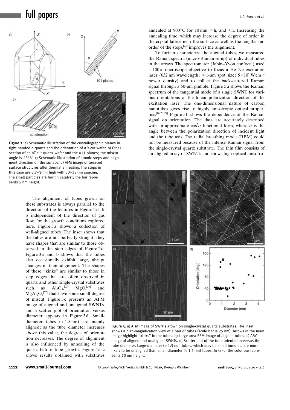

Figure 2. a) Schematic illustration of the crystallographic planes in right-handed a-quartz and the orientation of a Y-cut wafer. b) Cross section of an AT-cut quartz wafer and the 011 planes: the miscut angle is  $2^{\circ}58'$ . c) Schematic illustration of atomic steps and alignment direction on the surface. d) AFM image of terraced surface structures after thermal annealing. The steps in this case are 0.7–1-nm high with 30–35-nm spacing. The small particles are ferritin catalyst; the bar represents 5 nm height.

The alignment of tubes grown on these substrates is always parallel to the direction of the features in Figure 2 d. It is independent of the direction of gas flow, for the growth conditions explored here. Figure 3a shows a collection of well-aligned tubes. The inset shows that the tubes are not perfectly straight; they have shapes that are similar to those observed in the step edges of Figure 2d. Figure 3a and b shows that the tubes also occasionally exhibit large, abrupt changes in their alignment. The shapes of these "kinks" are similar to those in step edges that are often observed in quartz and other single-crystal substrates such as  $Al_2O_3$ <sup>[25]</sup>  $MgO<sub>5</sub><sup>[26]</sup>$  and  $MgAl<sub>2</sub>O<sub>4</sub><sup>[27]</sup>$  that have some small degree of miscut. Figure 3c presents an AFM image of aligned and unaligned SWNTs, and a scatter plot of orientation versus diameter appears in Figure 3 d. Smalldiameter tubes  $\left($  < 1.5 nm) are mainly aligned; as the tube diameter increases above this value, the degree of orientation decreases. The degree of alignment is also influenced by annealing of the quartz before tube growth. Figure 4 a–c shows results obtained with substrates annealed at  $900^{\circ}$ C for 10 min, 4 h, and 7 h. Increasing the annealing time, which may increase the degree of order in the crystal lattice near the surface as well as the lengths and order of the steps,[23] improves the alignment.

To further characterize the aligned tubes, we measured the Raman spectra (micro-Raman setup) of individual tubes in the arrays. The spectrometer (Jobin–Yvon confocal) used a  $100 \times$  microscope objective to focus a He–Ne excitation laser (632 nm wavelength;  $\approx$  1-µm spot size;  $5 \times 10^5$  W cm<sup>-2</sup> power density) and to collect the backscattered Raman signal through a 50-um pinhole. Figure 5a shows the Raman spectrum of the tangential mode of a single SWNT for various orientations of the linear polarization direction of the excitation laser. The one-dimensional nature of carbon nanotubes gives rise to highly anisotropic optical properties.[16, 28, 29] Figure 5b shows the dependence of the Raman signal on orientation. The data are accurately described with an approximate  $\cos^2 \alpha$  functional form, where  $\alpha$  is the angle between the polarization direction of incident light and the tube axis. The radial breathing mode (RBM) could not be measured because of the intense Raman signal from the single-crystal quartz substrate. The thin film consists of an aligned array of SWNTs and shows high optical anisotro-



Figure 3. a) AFM image of SWNTs grown on single-crystal quartz substrates. The inset shows a high-magnification view of a pair of tubes (scale bar is 75 nm). Arrows in the main image highlight "kinks" in the tubes. b) Large-area SEM image of aligned tubes. c) AFM image of aligned and unaligned SWNTs. d) Scatter plot of the tube orientation versus the tube diameter. Large-diameter  $(>1.5 \text{ nm})$  tubes, which may be small bundles, are more likely to be unaligned than small-diameter  $(< 1.5$  nm) tubes. In  $(a-c)$  the color bar represents 10 nm height.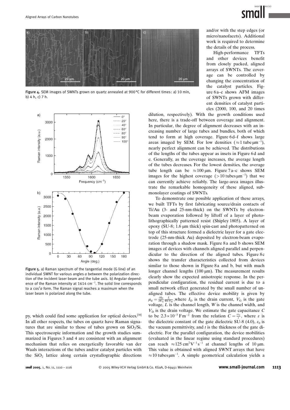



Figure 4. SEM images of SWNTs grown on quartz annealed at 900°C for different times: a) 10 min, b) 4 h, c) 7 h.



Figure 5. a) Raman spectrum of the tangential mode (G line) of an individual SWNT for various angles  $a$  between the polarization direction of the incident laser beam and the tube axis. b) Angular dependence of the Raman intensity at  $1614 \text{ cm}^{-1}$ . The solid line corresponds to a cos<sup>2</sup>a form. The Raman signal reaches a maximum when the laser beam is polarized along the tube.

py, which could find some application for optical devices.<sup>[30]</sup> In all other respects, the tubes on quartz have Raman signatures that are similar to those of tubes grown on  $SiO<sub>2</sub>/Si$ . This spectroscopic information and the growth studies summarized in Figures 3 and 4 are consistent with an alignment mechanism that relies on energetically favorable van der Waals interactions of the tubes and/or catalyst particles with the  $SiO<sub>2</sub>$  lattice along certain crystallographic directions and/or with the step edges (or micro/nanofacets). Additional work is required to determine the details of the process.

High-performance TFTs and other devices benefit from closely packed, aligned arrays of SWNTs. The coverage can be controlled by changing the concentration of the catalyst particles. Figure 6 a–c shows AFM images of SWNTs grown with different densities of catalyst particles (2000, 100, and 20 times

dilution, respectively). With the growth conditions used here, there is a trade-off between coverage and alignment. In particular, the degree of alignment decreases with an increasing number of large tubes and bundles, both of which tend to form at high coverage. Figure 6d–f shows large areas imaged by SEM. For low densities  $(\approx 1 \text{ tube }\mu\text{m}^{-1})$ , nearly perfect alignment can be achieved. The distributions of the lengths of the tubes appear as insets in Figure 6 d and e. Generally, as the coverage increases, the average length of the tubes decreases. For the lowest densities, the average tube length can be  $\approx 100 \,\mu$ m. Figure 7 a–c shows SEM images for the highest coverage ( $>10$  tubes  $\mu$ m<sup>-1</sup>) that we can currently achieve reliably. The large-area images illustrate the remarkable homogeneity of these aligned, submonolayer coatings of SWNTs.

To demonstrate one possible application of these arrays, we built TFTs by first fabricating source/drain contacts of Ti/Au (3- and 25-nm-thick) on the SWNTs by electronbeam evaporation followed by liftoff of a layer of photolithographically patterned resist (Shipley 1805). A layer of epoxy (SU-8; 1.6  $\mu$ m thick) spin-cast and photopatterned on top of this structure formed a dielectric layer for a gate electrode (25-nm-thick Au) deposited by electron-beam evaporation through a shadow mask. Figure 8a and b shows SEM images of devices with channels aligned parallel and perpendicular to the direction of the aligned tubes. Figure  $8c$ shows the transfer characteristics collected from devices similar to those shown in Figure 8a and b, but with much longer channel lengths  $(100 \mu m)$ . The measurement results clearly show the expected anisotropic response. In the perpendicular configuration, the residual current is due to a small network effect generated by the small number of unaligned tubes. The effective device mobility is given by  $\mu_d = \frac{\partial I_D}{\partial V_G} \frac{L}{WCV_D}$ , where  $I_D$  is the drain current,  $V_G$  is the gate voltage,  $L$  is the channel length,  $W$  is the channel width, and  $V<sub>D</sub>$  is the drain voltage. We estimate the gate capacitance C to be  $2.3 \times 10^{-5}$  Fm<sup>-2</sup> from the relation  $C = \frac{\varepsilon \varepsilon_0}{t}$ , where  $\varepsilon$  is the dielectric constant of the gate dielectric SU-8 (4.0),  $\varepsilon_0$  is the vacuum permittivity, and  $t$  is the thickness of the gate dielectric. For the parallel configuration, the device mobilities (evaluated in the linear regime using standard procedures) can reach  $\approx 125 \text{ cm}^2 \text{V}^{-1} \text{s}^{-1}$  at channel lengths of 10 µm. This value is obtained with aligned SWNT arrays that have  $\approx$  10 tubes  $\mu$ m<sup>-1</sup>. A simple geometrical calculation yields a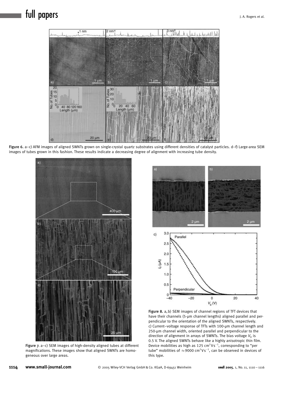## full papers **departs** the control of the control of the control of the control of the control of the control of the control of the control of the control of the control of the control of the control of the control of the c



Figure 6. a-c) AFM images of aligned SWNTs grown on single-crystal quartz substrates using different densities of catalyst particles. d-f) Large-area SEM images of tubes grown in this fashion. These results indicate a decreasing degree of alignment with increasing tube density.



Figure 7. a–c) SEM images of high-density aligned tubes at different magnifications. These images show that aligned SWNTs are homogeneous over large areas.



Figure 8. a, b) SEM images of channel regions of TFT devices that have their channels (5-µm channel lengths) aligned parallel and perpendicular to the orientation of the aligned SWNTs, respectively. c) Current-voltage response of TFTs with 100-µm channel length and 250-um channel width, oriented parallel and perpendicular to the direction of alignment in arrays of SWNTs. The bias voltage  $V<sub>D</sub>$  is 0.5 V. The aligned SWNTs behave like a highly anisotropic thin film. Device mobilities as high as 125  $cm^2Vs^{-1}$ , corresponding to "per tube" mobilities of  $\approx$  9000 cm $^2$ Vs $^{-1}$ , can be observed in devices of this type.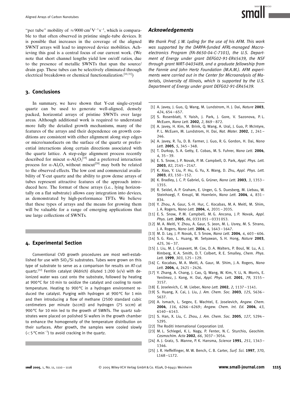"per tube" mobility of  $\approx 9000 \text{ cm}^2 \text{V}^{-1} \text{s}^{-1}$ , which is comparable to that often observed in pristine single-tube devices. It is possible that increases in the coverage of the aligned SWNT arrays will lead to improved device mobilities. Achieving this goal is a central focus of our current work. (We note that short channel lengths yield low on/off ratios, due to the presence of metallic SWNTs that span the source/ drain gap. These tubes can be selectively eliminated through electrical breakdown or chemical functionalization.<sup>[10,31]</sup>)

#### 3. Conclusions

In summary, we have shown that Y-cut single-crystal quartz can be used to generate well-aligned, densely packed, horizontal arrays of pristine SWNTs over large areas. Although additional work is required to understand more fully the detailed growth mechanisms, many of the features of the arrays and their dependence on growth conditions are consistent with either alignment along step edges or micro/nanofacets on the surface of the quartz or preferential interactions along certain directions associated with the quartz lattice. A step-edge alignment process recently described for miscut  $\alpha$ -Al<sub>2</sub>O<sub>3</sub><sup>[19]</sup> and a preferred interaction process for  $\alpha$ -Al<sub>2</sub>O<sub>3</sub> without miscut<sup>[20]</sup> may both be related to the observed effects. The low cost and commercial availability of Y-cut quartz and the ability to grow dense arrays of tubes represent attractive features of the approach introduced here. The format of these arrays (i.e., lying horizontally on a flat substrate) allows easy integration into devices, as demonstrated by high-performance TFTs. We believe that these types of arrays and the means for growing them will be valuable for a range of emerging applications that use large collections of SWNTs.

### 4. Experimental Section

Conventional CVD growth procedures are most well-established for use with  $SiO<sub>2</sub>/Si$  substrates. Tubes were grown on this type of substrate to serve as a comparison for results on AT-cut quartz.<sup>[22]</sup> Ferritin catalyst (Aldrich) diluted 1:200 (v/v) with deionized water was cast onto the substrate, followed by heating at 900°C for 10 min to oxidize the catalyst and cooling to room temperature. Heating to 900°C in a hydrogen environment reduced the catalyst. Purging with hydrogen at 900°C for 1 min and then introducing a flow of methane (2500 standard cubic centimeters per minute (sccm)) and hydrogen (75 sccm) at 900°C for 10 min led to the growth of SWNTs. The quartz substrates were placed on polished Si wafers in the growth chamber to enhance the homogeneity of the temperature distribution on their surfaces. After growth, the samples were cooled slowly  $(<$  5 °C min<sup>-1</sup>) to avoid cracking in the quartz.

#### Acknowledgements

We thank Prof. J. W. Lyding for the use of his AFM. This work was supported by the DARPA-funded AFRL-managed Macroelectronics Program(FA-8650-04-C-7101), the U.S. Department of Energy under grant DEFG02-91-ER45439, the NSF through grant NIRT-0403489, and a graduate fellowship from the Fannie and John Hertz Foundation (M.A.M.). AFM experiments were carried out in the Center for Microanalysis of Materials, University of Illinois, which is supported by the U.S. Department of Energy under grant DEFG02-91-ER45439.

- [1] A. Javey, J. Guo, Q. Wang, M. Lundstrom, H. J. Dai, Nature 2003, 424, 654 – 657.
- [2] S. Rosenblatt, Y. Yaish, J. Park, J. Gore, V. Sazonova, P. L. McEuen, Nano Lett. 2002, 2, 869 – 872.
- [3] A. Javey, H. Kim, M. Brink, Q. Wang, A. Ural, J. Guo, P. McIntyre, P. L. McEuen, M. Lundstrom, H. Dai, Nat. Mater. 2002, 1, 241-246.
- [4] A. Javey, R. Tu, D. B. Farmer, J. Guo, R. G. Gordon, H. Dai, Nano Lett. 2005, 5, 345-348.
- [5] T. Durkop, S. A. Getty, E. Cobas, M. S. Fuhrer, Nano Lett. 2004, 4, 35 – 39.
- [6] E. S. Snow, J. P. Novak, P. M. Campbell, D. Park, Appl. Phys. Lett. 2003, 82, 2145 – 2147.
- [7] K. Xiao, Y. Liu, P. Hu, G. Yu, X. Wang, D. Zhu, Appl. Phys. Lett. 2003, 83, 150 – 152.
- [8] K. Bradley, J. C. P. Gabriel, G. Grüner, Nano Lett. 2003, 3, 1353 -1355.
- [9] R. Seidel, A. P. Graham, E. Unger, G. S. Duesberg, M. Liebau, W. Steinhoegl, F. Kreupl, W. Hoenlein, Nano Lett. 2004, 4, 831-834.
- [10] Y. Zhou, A. Gaur, S.-H. Hur, C. Kocabas, M. A. Meitl, M. Shim, J. A. Rogers, Nano Lett. 2004, 4, 2031 – 2035.
- [11] E.S. Snow, P.M. Campbell, M.G. Ancona, J.P. Novak, Appl. Phys. Lett. 2005, 86, 0331 051 - 0331 053.
- [12] M. A. Meitl, Y. Zhou, A. Gaur, S. Jeon, M. L. Usrey, M. S. Strano, J. A. Rogers, Nano Lett. 2004, 4, 1643 – 1647.
- [13] M. D. Lay, J. P. Novak, E. S Snow, Nano Lett. 2004, 4, 603-606.
- [14] S. G. Rao, L. Huang, W. Setyawan, S. H. Hong, Nature 2003,  $425.36 - 37.$
- [15] J. Liu, M. J. Casavant, M. Cox, D. A. Walters, P. Boul, W. Lu, A. J. Rimberg, K. A. Smith, D. T. Colbert, R. E. Smalley, Chem. Phys. Lett. 1999, 303, 125-129.
- [16] C. Kocabas, M. A. Meitl, A. Gaur, M. Shim, J. A. Rogers, Nano Lett. 2004, 4, 2421-2426.
- [17] Y. Zhang, A. Chang, J. Cao, Q. Wang, W. Kim, Y. Li, N. Morris, E. Yenilmez, J. Kong, H. Dai, Appl. Phys. Lett. 2001, 79, 3155 -3157.
- [18] E. Joselevich, C. M. Lieber, Nano Lett. 2002, 2, 1137-1141.
- [19] S. Huang, X. Cai, J. Liu, J. Am. Chem. Soc. 2003, 125, 5636-5637.
- [20] A. Ismach, L. Segey, E. Wachtel, E. Joselevich, Angew. Chem. 2004, 116, 6266 – 6269; Angew. Chem. Int. Ed. 2004, 43, 6140 – 6143.
- [21] S. Han, X. Liu, C. Zhou, J. Am. Chem. Soc. 2005, 127, 5294 -5295.
- [22] The Roditi International Corporation Ltd.
- [23] M. L. Schlegel, K. L. Nagy, P. Fenter, N. C. Sturchio, Geochim. Cosmochim. Acta 2002, 66, 3037 – 3054.
- [24] A. J. Gratz, S. Manne, P. K. Hansma, Science 1991, 251, 1343 -1346.
- [25] J. R. Heffelfinger, M. W. Bench, C. B. Carter, Surf. Sci. 1997, 370,  $L168 - L172.$

small 2005, 1, No. 11, 1110 – 1116  $\circ$  2005 Wiley-VCH Verlag GmbH & Co. KGaA, D-69451 Weinheim <www.small-journal.com> 1115